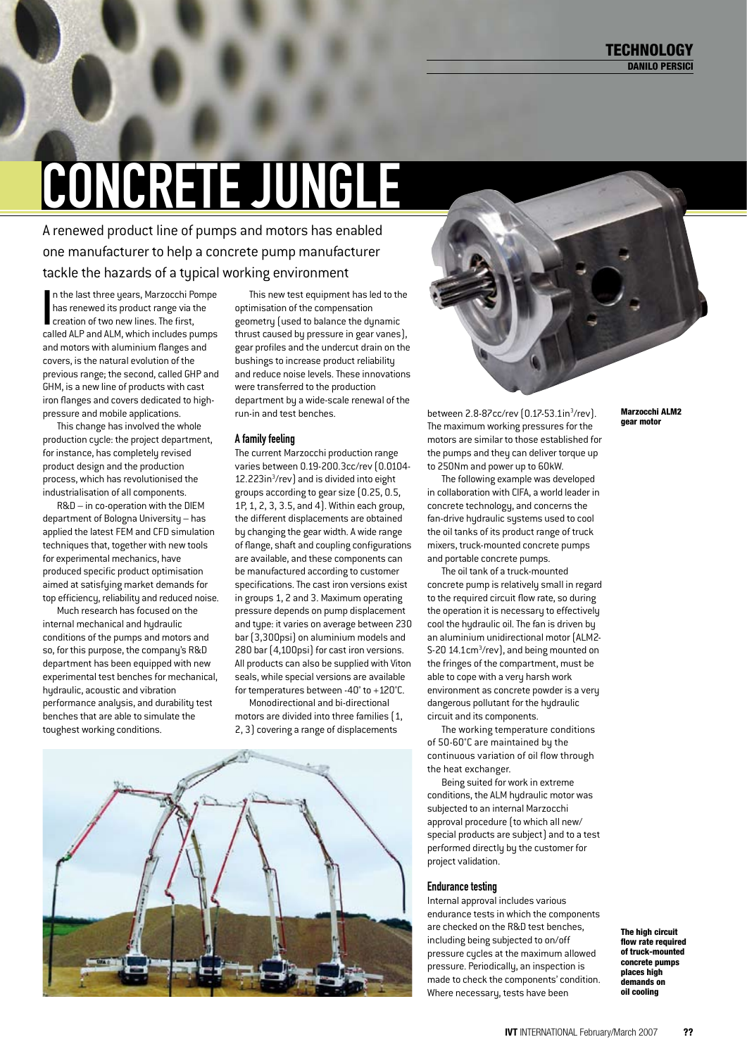# concrete jungle

A renewed product line of pumps and motors has enabled one manufacturer to help a concrete pump manufacturer tackle the hazards of a typical working environment

In the last three years, Marzocchi P<br>has renewed its product range via t<br>creation of two new lines. The first,<br>called ALP and ALM which includes pr n the last three years, Marzocchi Pompe has renewed its product range via the called ALP and ALM, which includes pumps and motors with aluminium flanges and covers, is the natural evolution of the previous range; the second, called GHP and GHM, is a new line of products with cast iron flanges and covers dedicated to highpressure and mobile applications.

This change has involved the whole production cycle: the project department, for instance, has completely revised product design and the production process, which has revolutionised the industrialisation of all components.

R&D – in co-operation with the DIEM department of Bologna University – has applied the latest FEM and CFD simulation techniques that, together with new tools for experimental mechanics, have produced specific product optimisation aimed at satisfying market demands for top efficiency, reliability and reduced noise.

Much research has focused on the internal mechanical and hydraulic conditions of the pumps and motors and so, for this purpose, the company's R&D department has been equipped with new experimental test benches for mechanical, hydraulic, acoustic and vibration performance analysis, and durability test benches that are able to simulate the toughest working conditions.

This new test equipment has led to the optimisation of the compensation geometry (used to balance the dynamic thrust caused by pressure in gear vanes), gear profiles and the undercut drain on the bushings to increase product reliability and reduce noise levels. These innovations were transferred to the production department by a wide-scale renewal of the run-in and test benches.

### A family feeling

The current Marzocchi production range varies between 0.19-200.3cc/rev (0.0104- 12.223in<sup>3</sup>/rev) and is divided into eight groups according to gear size (0.25, 0.5, 1P, 1, 2, 3, 3.5, and 4). Within each group, the different displacements are obtained by changing the gear width. A wide range of flange, shaft and coupling configurations are available, and these components can be manufactured according to customer specifications. The cast iron versions exist in groups 1, 2 and 3. Maximum operating pressure depends on pump displacement and type: it varies on average between 230 bar (3,300psi) on aluminium models and 280 bar (4,100psi) for cast iron versions. All products can also be supplied with Viton seals, while special versions are available for temperatures between -40° to +120°C.

Monodirectional and bi-directional motors are divided into three families (1, 2, 3) covering a range of displacements





between 2.8-87cc/rev (0.17-53.1in<sup>3</sup>/rev). The maximum working pressures for the motors are similar to those established for the pumps and they can deliver torque up to 250Nm and power up to 60kW.

The following example was developed in collaboration with CIFA, a world leader in concrete technology, and concerns the fan-drive hudraulic sustems used to cool the oil tanks of its product range of truck mixers, truck-mounted concrete pumps and portable concrete pumps.

The oil tank of a truck-mounted concrete pump is relatively small in regard to the required circuit flow rate, so during the operation it is necessary to effectively cool the hydraulic oil. The fan is driven by an aluminium unidirectional motor (ALM2- S-20 14.1cm<sup>3</sup>/rev], and being mounted on the fringes of the compartment, must be able to cope with a very harsh work environment as concrete powder is a very dangerous pollutant for the hydraulic circuit and its components.

The working temperature conditions of 50-60°C are maintained by the continuous variation of oil flow through the heat exchanger.

Being suited for work in extreme conditions, the ALM hydraulic motor was subjected to an internal Marzocchi approval procedure (to which all new/ special products are subject) and to a test performed directly by the customer for project validation.

### Endurance testing

Internal approval includes various endurance tests in which the components are checked on the R&D test benches, including being subjected to on/off pressure cycles at the maximum allowed pressure. Periodically, an inspection is made to check the components' condition. Where necessary, tests have been

Marzocchi ALM2 gear motor

> The high circuit flow rate required of truck-mounted concrete pumps places high demands on oil cooling